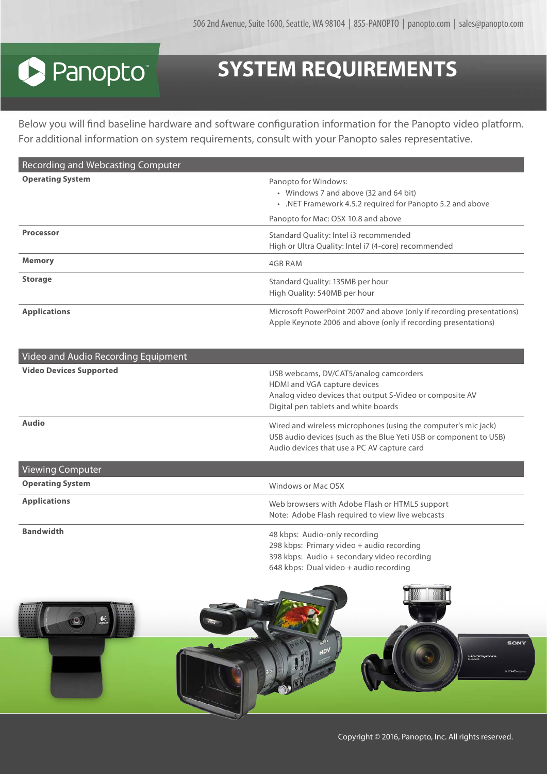## **S** Panopto®

## **SYSTEM REQUIREMENTS**

Below you will find baseline hardware and software configuration information for the Panopto video platform. For additional information on system requirements, consult with your Panopto sales representative.

| <b>Recording and Webcasting Computer</b> |                                                                                                                                                                  |
|------------------------------------------|------------------------------------------------------------------------------------------------------------------------------------------------------------------|
| <b>Operating System</b>                  | Panopto for Windows:<br>• Windows 7 and above (32 and 64 bit)<br>. NET Framework 4.5.2 required for Panopto 5.2 and above<br>Panopto for Mac: OSX 10.8 and above |
| <b>Processor</b>                         | Standard Quality: Intel i3 recommended<br>High or Ultra Quality: Intel i7 (4-core) recommended                                                                   |
| <b>Memory</b>                            | 4GB RAM                                                                                                                                                          |
| <b>Storage</b>                           | Standard Quality: 135MB per hour<br>High Quality: 540MB per hour                                                                                                 |
| <b>Applications</b>                      | Microsoft PowerPoint 2007 and above (only if recording presentations)<br>Apple Keynote 2006 and above (only if recording presentations)                          |

| Video and Audio Recording Equipment |                                                                                                                                                                                    |
|-------------------------------------|------------------------------------------------------------------------------------------------------------------------------------------------------------------------------------|
| <b>Video Devices Supported</b>      | USB webcams, DV/CAT5/analog camcorders<br>HDMI and VGA capture devices<br>Analog video devices that output S-Video or composite AV<br>Digital pen tablets and white boards         |
| <b>Audio</b>                        | Wired and wireless microphones (using the computer's mic jack)<br>USB audio devices (such as the Blue Yeti USB or component to USB)<br>Audio devices that use a PC AV capture card |
| <b>Viewing Computer</b>             |                                                                                                                                                                                    |
| <b>Operating System</b>             | Windows or Mac OSX                                                                                                                                                                 |
| <b>Applications</b>                 | Web browsers with Adobe Flash or HTML5 support<br>Note: Adobe Flash required to view live webcasts                                                                                 |

**Bandwidth** 48 kbps: Audio-only recording 298 kbps: Primary video + audio recording 398 kbps: Audio + secondary video recording 648 kbps: Dual video + audio recording